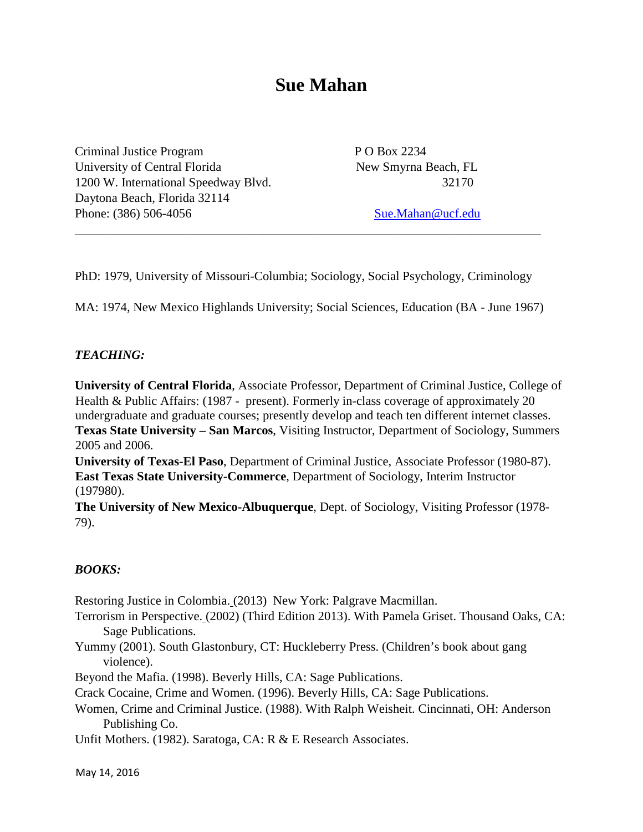# **Sue Mahan**

Criminal Justice Program P O Box 2234 University of Central Florida New Smyrna Beach, FL 1200 W. International Speedway Blvd. 32170 Daytona Beach, Florida 32114 Phone: (386) 506-4056 Sue.Mahan@ucf.edu

PhD: 1979, University of Missouri-Columbia; Sociology, Social Psychology, Criminology

\_\_\_\_\_\_\_\_\_\_\_\_\_\_\_\_\_\_\_\_\_\_\_\_\_\_\_\_\_\_\_\_\_\_\_\_\_\_\_\_\_\_\_\_\_\_\_\_\_\_\_\_\_\_\_\_\_\_\_\_\_\_\_\_\_\_\_\_\_\_\_\_\_\_

MA: 1974, New Mexico Highlands University; Social Sciences, Education (BA - June 1967)

#### *TEACHING:*

**University of Central Florida**, Associate Professor, Department of Criminal Justice, College of Health & Public Affairs: (1987 - present). Formerly in-class coverage of approximately 20 undergraduate and graduate courses; presently develop and teach ten different internet classes. **Texas State University – San Marcos**, Visiting Instructor, Department of Sociology, Summers 2005 and 2006.

**University of Texas-El Paso**, Department of Criminal Justice, Associate Professor (1980-87). **East Texas State University-Commerce**, Department of Sociology, Interim Instructor (197980).

**The University of New Mexico-Albuquerque**, Dept. of Sociology, Visiting Professor (1978- 79).

#### *BOOKS:*

Restoring Justice in Colombia. (2013) New York: Palgrave Macmillan.

Terrorism in Perspective. (2002) (Third Edition 2013). With Pamela Griset. Thousand Oaks, CA: Sage Publications.

Yummy (2001). South Glastonbury, CT: Huckleberry Press. (Children's book about gang violence).

Beyond the Mafia. (1998). Beverly Hills, CA: Sage Publications.

Crack Cocaine, Crime and Women. (1996). Beverly Hills, CA: Sage Publications.

Women, Crime and Criminal Justice. (1988). With Ralph Weisheit. Cincinnati, OH: Anderson Publishing Co.

Unfit Mothers. (1982). Saratoga, CA: R & E Research Associates.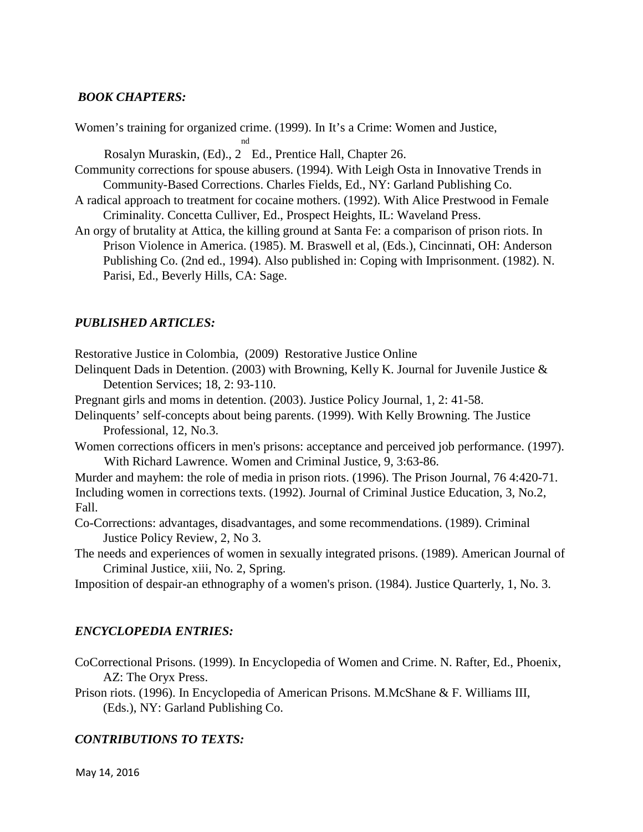#### *BOOK CHAPTERS:*

Women's training for organized crime. (1999). In It's a Crime: Women and Justice,

nd Rosalyn Muraskin, (Ed)., 2 Ed., Prentice Hall, Chapter 26.

- Community corrections for spouse abusers. (1994). With Leigh Osta in Innovative Trends in Community-Based Corrections. Charles Fields, Ed., NY: Garland Publishing Co.
- A radical approach to treatment for cocaine mothers. (1992). With Alice Prestwood in Female Criminality. Concetta Culliver, Ed., Prospect Heights, IL: Waveland Press.
- An orgy of brutality at Attica, the killing ground at Santa Fe: a comparison of prison riots. In Prison Violence in America. (1985). M. Braswell et al, (Eds.), Cincinnati, OH: Anderson Publishing Co. (2nd ed., 1994). Also published in: Coping with Imprisonment. (1982). N. Parisi, Ed., Beverly Hills, CA: Sage.

## *PUBLISHED ARTICLES:*

Restorative Justice in Colombia, (2009) Restorative Justice Online

- Delinquent Dads in Detention. (2003) with Browning, Kelly K. Journal for Juvenile Justice & Detention Services; 18, 2: 93-110.
- Pregnant girls and moms in detention. (2003). Justice Policy Journal, 1, 2: 41-58.
- Delinquents' self-concepts about being parents. (1999). With Kelly Browning. The Justice Professional, 12, No.3.
- Women corrections officers in men's prisons: acceptance and perceived job performance. (1997). With Richard Lawrence. Women and Criminal Justice, 9, 3:63-86.

Murder and mayhem: the role of media in prison riots. (1996). The Prison Journal, 76 4:420-71. Including women in corrections texts. (1992). Journal of Criminal Justice Education, 3, No.2, Fall.

Co-Corrections: advantages, disadvantages, and some recommendations. (1989). Criminal Justice Policy Review, 2, No 3.

The needs and experiences of women in sexually integrated prisons. (1989). American Journal of Criminal Justice, xiii, No. 2, Spring.

Imposition of despair-an ethnography of a women's prison. (1984). Justice Quarterly, 1, No. 3.

## *ENCYCLOPEDIA ENTRIES:*

CoCorrectional Prisons. (1999). In Encyclopedia of Women and Crime. N. Rafter, Ed., Phoenix, AZ: The Oryx Press.

Prison riots. (1996). In Encyclopedia of American Prisons. M.McShane & F. Williams III, (Eds.), NY: Garland Publishing Co.

## *CONTRIBUTIONS TO TEXTS:*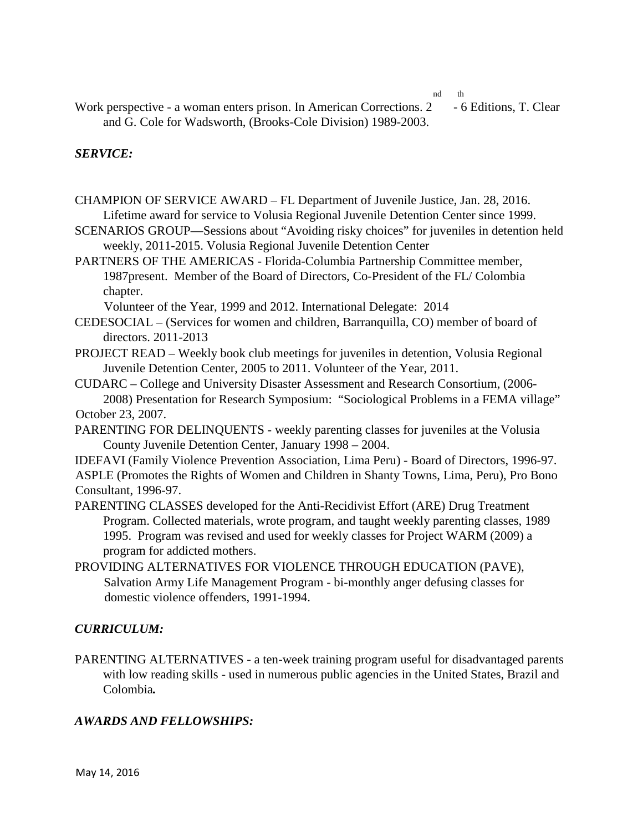nd th

Work perspective - a woman enters prison. In American Corrections. 2 - 6 Editions, T. Clear and G. Cole for Wadsworth, (Brooks-Cole Division) 1989-2003.

## *SERVICE:*

CHAMPION OF SERVICE AWARD – FL Department of Juvenile Justice, Jan. 28, 2016. Lifetime award for service to Volusia Regional Juvenile Detention Center since 1999.

SCENARIOS GROUP—Sessions about "Avoiding risky choices" for juveniles in detention held weekly, 2011-2015. Volusia Regional Juvenile Detention Center

PARTNERS OF THE AMERICAS - Florida-Columbia Partnership Committee member, 1987present. Member of the Board of Directors, Co-President of the FL/ Colombia chapter.

Volunteer of the Year, 1999 and 2012. International Delegate: 2014

CEDESOCIAL – (Services for women and children, Barranquilla, CO) member of board of directors. 2011-2013

PROJECT READ – Weekly book club meetings for juveniles in detention, Volusia Regional Juvenile Detention Center, 2005 to 2011. Volunteer of the Year, 2011.

CUDARC – College and University Disaster Assessment and Research Consortium, (2006- 2008) Presentation for Research Symposium: "Sociological Problems in a FEMA village" October 23, 2007.

PARENTING FOR DELINQUENTS - weekly parenting classes for juveniles at the Volusia County Juvenile Detention Center, January 1998 – 2004.

IDEFAVI (Family Violence Prevention Association, Lima Peru) - Board of Directors, 1996-97. ASPLE (Promotes the Rights of Women and Children in Shanty Towns, Lima, Peru), Pro Bono Consultant, 1996-97.

- PARENTING CLASSES developed for the Anti-Recidivist Effort (ARE) Drug Treatment Program. Collected materials, wrote program, and taught weekly parenting classes, 1989 1995. Program was revised and used for weekly classes for Project WARM (2009) a program for addicted mothers.
- PROVIDING ALTERNATIVES FOR VIOLENCE THROUGH EDUCATION (PAVE), Salvation Army Life Management Program - bi-monthly anger defusing classes for domestic violence offenders, 1991-1994.

#### *CURRICULUM:*

PARENTING ALTERNATIVES - a ten-week training program useful for disadvantaged parents with low reading skills - used in numerous public agencies in the United States, Brazil and Colombia*.* 

#### *AWARDS AND FELLOWSHIPS:*